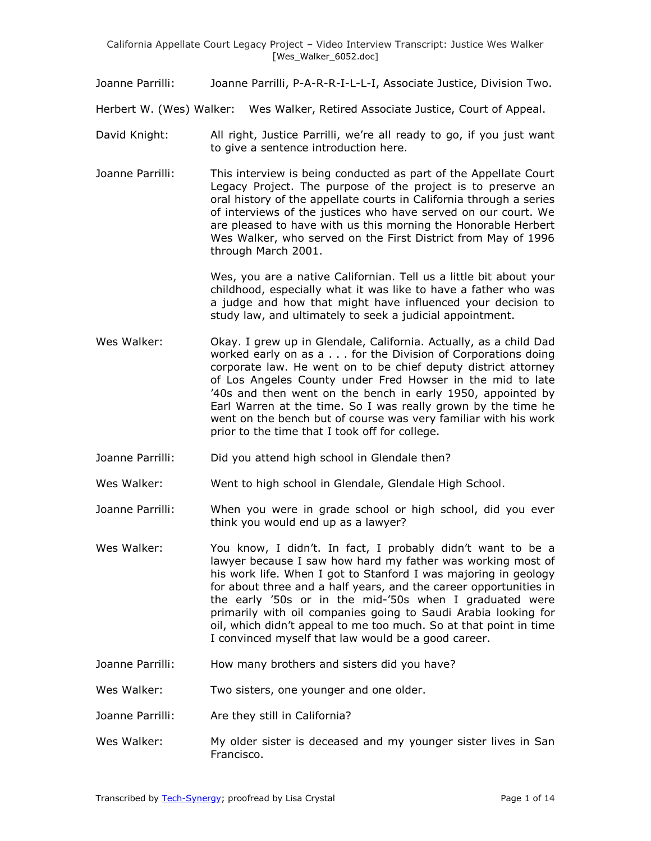Joanne Parrilli: Joanne Parrilli, P-A-R-R-I-L-L-I, Associate Justice, Division Two.

Herbert W. (Wes) Walker: Wes Walker, Retired Associate Justice, Court of Appeal.

- David Knight: All right, Justice Parrilli, we're all ready to go, if you just want to give a sentence introduction here.
- Joanne Parrilli: This interview is being conducted as part of the Appellate Court Legacy Project. The purpose of the project is to preserve an oral history of the appellate courts in California through a series of interviews of the justices who have served on our court. We are pleased to have with us this morning the Honorable Herbert Wes Walker, who served on the First District from May of 1996 through March 2001.

Wes, you are a native Californian. Tell us a little bit about your childhood, especially what it was like to have a father who was a judge and how that might have influenced your decision to study law, and ultimately to seek a judicial appointment.

- Wes Walker: Okay. I grew up in Glendale, California. Actually, as a child Dad worked early on as a . . . for the Division of Corporations doing corporate law. He went on to be chief deputy district attorney of Los Angeles County under Fred Howser in the mid to late '40s and then went on the bench in early 1950, appointed by Earl Warren at the time. So I was really grown by the time he went on the bench but of course was very familiar with his work prior to the time that I took off for college.
- Joanne Parrilli: Did you attend high school in Glendale then?

Wes Walker: Went to high school in Glendale, Glendale High School.

- Joanne Parrilli: When you were in grade school or high school, did you ever think you would end up as a lawyer?
- Wes Walker: You know, I didn't. In fact, I probably didn't want to be a lawyer because I saw how hard my father was working most of his work life. When I got to Stanford I was majoring in geology for about three and a half years, and the career opportunities in the early '50s or in the mid-'50s when I graduated were primarily with oil companies going to Saudi Arabia looking for oil, which didn't appeal to me too much. So at that point in time I convinced myself that law would be a good career.
- Joanne Parrilli: How many brothers and sisters did you have?

Wes Walker: Two sisters, one younger and one older.

- Joanne Parrilli: Are they still in California?
- Wes Walker: My older sister is deceased and my younger sister lives in San Francisco.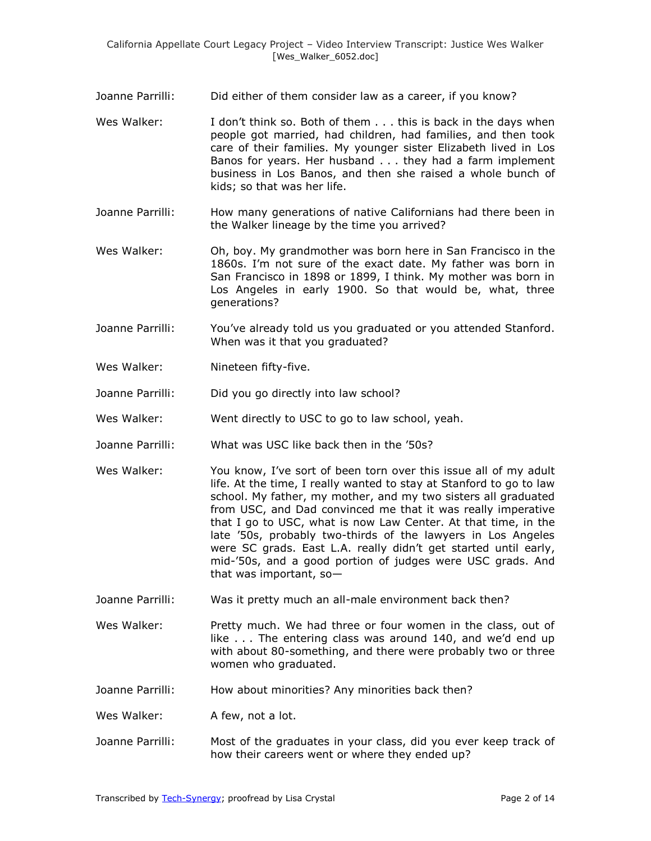- Joanne Parrilli: Did either of them consider law as a career, if you know?
- Wes Walker: I don't think so. Both of them . . . this is back in the days when people got married, had children, had families, and then took care of their families. My younger sister Elizabeth lived in Los Banos for years. Her husband . . . they had a farm implement business in Los Banos, and then she raised a whole bunch of kids; so that was her life.
- Joanne Parrilli: How many generations of native Californians had there been in the Walker lineage by the time you arrived?
- Wes Walker: Oh, boy. My grandmother was born here in San Francisco in the 1860s. I'm not sure of the exact date. My father was born in San Francisco in 1898 or 1899, I think. My mother was born in Los Angeles in early 1900. So that would be, what, three generations?
- Joanne Parrilli: You've already told us you graduated or you attended Stanford. When was it that you graduated?
- Wes Walker: Nineteen fifty-five.

Joanne Parrilli: Did you go directly into law school?

- Wes Walker: Went directly to USC to go to law school, yeah.
- Joanne Parrilli: What was USC like back then in the '50s?
- Wes Walker: You know, I've sort of been torn over this issue all of my adult life. At the time, I really wanted to stay at Stanford to go to law school. My father, my mother, and my two sisters all graduated from USC, and Dad convinced me that it was really imperative that I go to USC, what is now Law Center. At that time, in the late '50s, probably two-thirds of the lawyers in Los Angeles were SC grads. East L.A. really didn't get started until early, mid-'50s, and a good portion of judges were USC grads. And that was important, so—
- Joanne Parrilli: Was it pretty much an all-male environment back then?
- Wes Walker: Pretty much. We had three or four women in the class, out of like . . . The entering class was around 140, and we'd end up with about 80-something, and there were probably two or three women who graduated.
- Joanne Parrilli: How about minorities? Any minorities back then?
- Wes Walker: A few, not a lot.
- Joanne Parrilli: Most of the graduates in your class, did you ever keep track of how their careers went or where they ended up?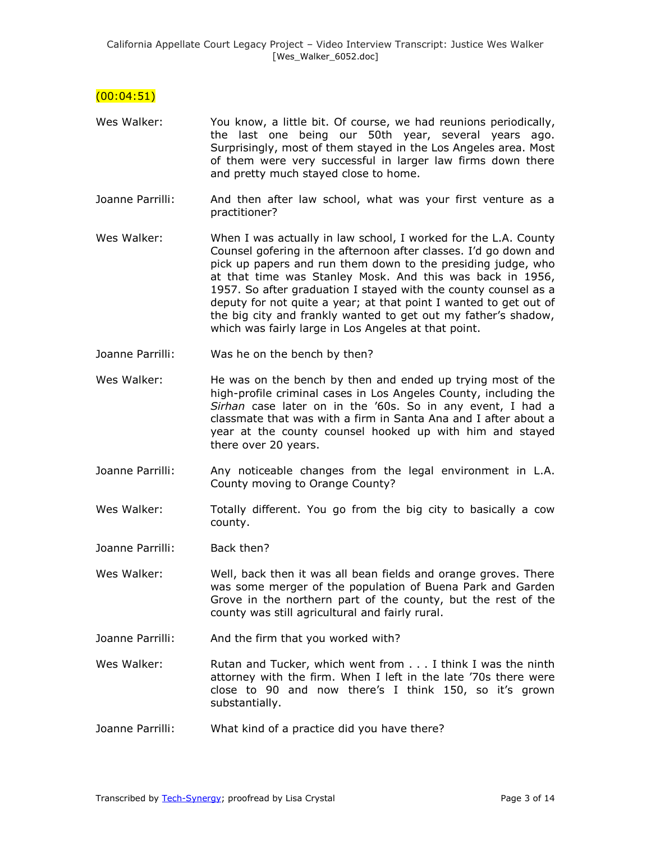$(00:04:51)$ 

- Wes Walker: You know, a little bit. Of course, we had reunions periodically, the last one being our 50th year, several years ago. Surprisingly, most of them stayed in the Los Angeles area. Most of them were very successful in larger law firms down there and pretty much stayed close to home.
- Joanne Parrilli: And then after law school, what was your first venture as a practitioner?
- Wes Walker: When I was actually in law school, I worked for the L.A. County Counsel gofering in the afternoon after classes. I'd go down and pick up papers and run them down to the presiding judge, who at that time was Stanley Mosk. And this was back in 1956, 1957. So after graduation I stayed with the county counsel as a deputy for not quite a year; at that point I wanted to get out of the big city and frankly wanted to get out my father's shadow, which was fairly large in Los Angeles at that point.
- Joanne Parrilli: Was he on the bench by then?
- Wes Walker: He was on the bench by then and ended up trying most of the high-profile criminal cases in Los Angeles County, including the *Sirhan* case later on in the '60s. So in any event, I had a classmate that was with a firm in Santa Ana and I after about a year at the county counsel hooked up with him and stayed there over 20 years.
- Joanne Parrilli: Any noticeable changes from the legal environment in L.A. County moving to Orange County?
- Wes Walker: Totally different. You go from the big city to basically a cow county.

Joanne Parrilli: Back then?

- Wes Walker: Well, back then it was all bean fields and orange groves. There was some merger of the population of Buena Park and Garden Grove in the northern part of the county, but the rest of the county was still agricultural and fairly rural.
- Joanne Parrilli: And the firm that you worked with?

Wes Walker: Rutan and Tucker, which went from . . . I think I was the ninth attorney with the firm. When I left in the late '70s there were close to 90 and now there's I think 150, so it's grown substantially.

Joanne Parrilli: What kind of a practice did you have there?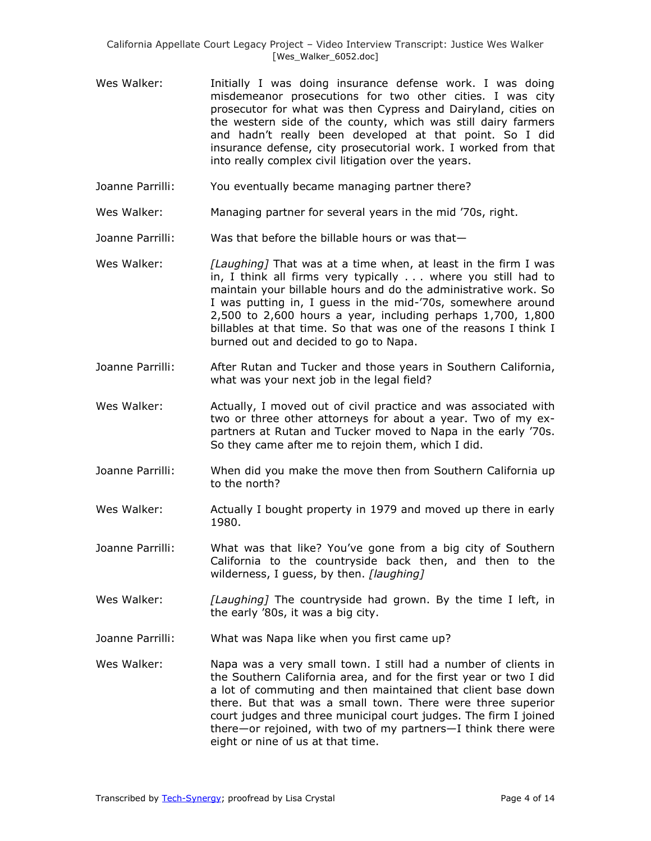- Wes Walker: **Initially I was doing insurance defense work. I was doing** misdemeanor prosecutions for two other cities. I was city prosecutor for what was then Cypress and Dairyland, cities on the western side of the county, which was still dairy farmers and hadn't really been developed at that point. So I did insurance defense, city prosecutorial work. I worked from that into really complex civil litigation over the years.
- Joanne Parrilli: You eventually became managing partner there?
- Wes Walker: Managing partner for several years in the mid '70s, right.
- Joanne Parrilli: Was that before the billable hours or was that—
- Wes Walker: *[Laughing]* That was at a time when, at least in the firm I was in, I think all firms very typically . . . where you still had to maintain your billable hours and do the administrative work. So I was putting in, I guess in the mid-'70s, somewhere around 2,500 to 2,600 hours a year, including perhaps 1,700, 1,800 billables at that time. So that was one of the reasons I think I burned out and decided to go to Napa.
- Joanne Parrilli: After Rutan and Tucker and those years in Southern California, what was your next job in the legal field?
- Wes Walker: Actually, I moved out of civil practice and was associated with two or three other attorneys for about a year. Two of my expartners at Rutan and Tucker moved to Napa in the early '70s. So they came after me to rejoin them, which I did.
- Joanne Parrilli: When did you make the move then from Southern California up to the north?
- Wes Walker: Actually I bought property in 1979 and moved up there in early 1980.
- Joanne Parrilli: What was that like? You've gone from a big city of Southern California to the countryside back then, and then to the wilderness, I guess, by then. *[laughing]*
- Wes Walker: *[Laughing]* The countryside had grown. By the time I left, in the early '80s, it was a big city.
- Joanne Parrilli: What was Napa like when you first came up?
- Wes Walker: Napa was a very small town. I still had a number of clients in the Southern California area, and for the first year or two I did a lot of commuting and then maintained that client base down there. But that was a small town. There were three superior court judges and three municipal court judges. The firm I joined there—or rejoined, with two of my partners—I think there were eight or nine of us at that time.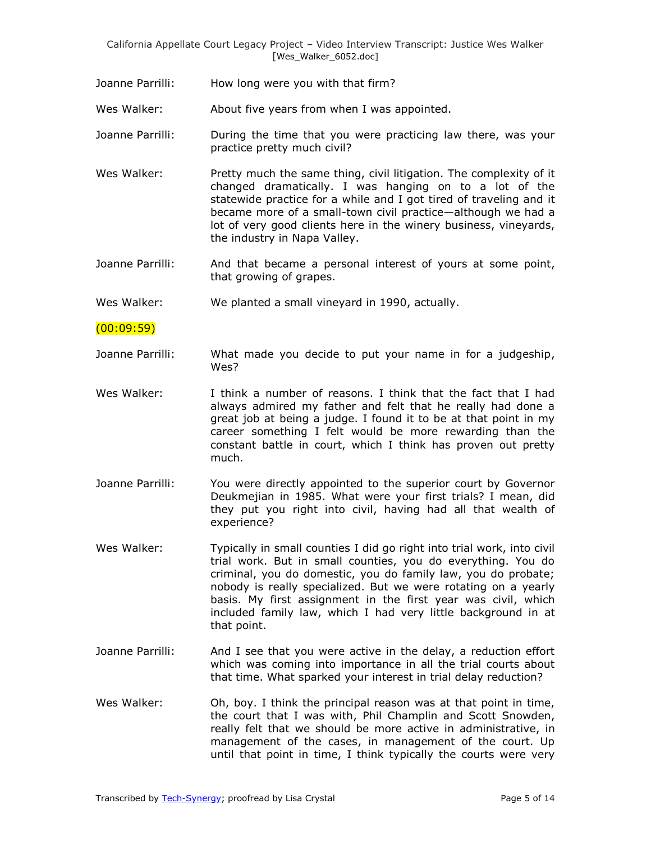Joanne Parrilli: How long were you with that firm?

Wes Walker: About five years from when I was appointed.

- Joanne Parrilli: During the time that you were practicing law there, was your practice pretty much civil?
- Wes Walker: Pretty much the same thing, civil litigation. The complexity of it changed dramatically. I was hanging on to a lot of the statewide practice for a while and I got tired of traveling and it became more of a small-town civil practice—although we had a lot of very good clients here in the winery business, vineyards, the industry in Napa Valley.
- Joanne Parrilli: And that became a personal interest of yours at some point, that growing of grapes.

Wes Walker: We planted a small vineyard in 1990, actually.

 $(00:09:59)$ 

- Joanne Parrilli: What made you decide to put your name in for a judgeship, Wes?
- Wes Walker: I think a number of reasons. I think that the fact that I had always admired my father and felt that he really had done a great job at being a judge. I found it to be at that point in my career something I felt would be more rewarding than the constant battle in court, which I think has proven out pretty much.
- Joanne Parrilli: You were directly appointed to the superior court by Governor Deukmejian in 1985. What were your first trials? I mean, did they put you right into civil, having had all that wealth of experience?
- Wes Walker: Typically in small counties I did go right into trial work, into civil trial work. But in small counties, you do everything. You do criminal, you do domestic, you do family law, you do probate; nobody is really specialized. But we were rotating on a yearly basis. My first assignment in the first year was civil, which included family law, which I had very little background in at that point.
- Joanne Parrilli: And I see that you were active in the delay, a reduction effort which was coming into importance in all the trial courts about that time. What sparked your interest in trial delay reduction?
- Wes Walker: Oh, boy. I think the principal reason was at that point in time, the court that I was with, Phil Champlin and Scott Snowden, really felt that we should be more active in administrative, in management of the cases, in management of the court. Up until that point in time, I think typically the courts were very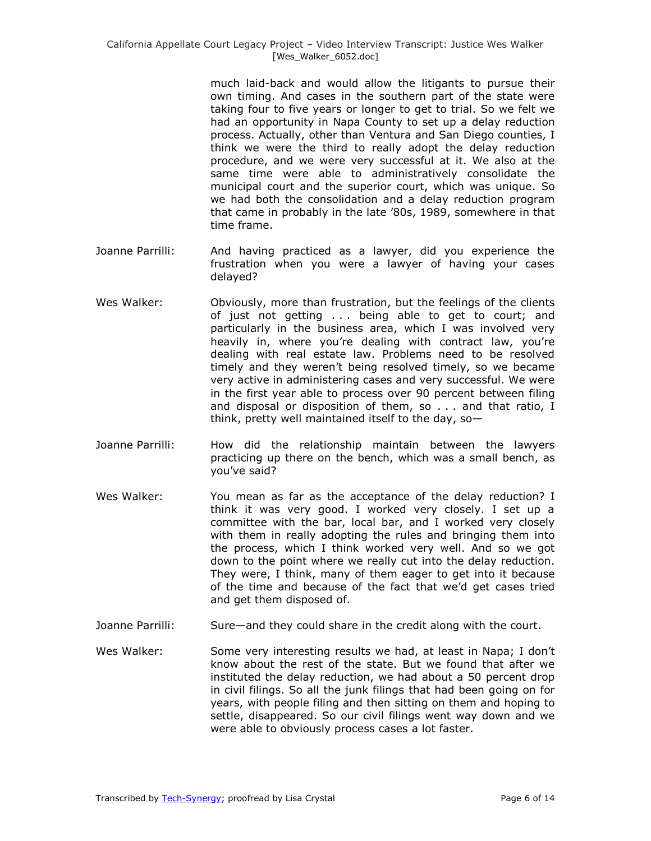much laid-back and would allow the litigants to pursue their own timing. And cases in the southern part of the state were taking four to five years or longer to get to trial. So we felt we had an opportunity in Napa County to set up a delay reduction process. Actually, other than Ventura and San Diego counties, I think we were the third to really adopt the delay reduction procedure, and we were very successful at it. We also at the same time were able to administratively consolidate the municipal court and the superior court, which was unique. So we had both the consolidation and a delay reduction program that came in probably in the late '80s, 1989, somewhere in that time frame.

- Joanne Parrilli: And having practiced as a lawyer, did you experience the frustration when you were a lawyer of having your cases delayed?
- Wes Walker: Obviously, more than frustration, but the feelings of the clients of just not getting . . . being able to get to court; and particularly in the business area, which I was involved very heavily in, where you're dealing with contract law, you're dealing with real estate law. Problems need to be resolved timely and they weren't being resolved timely, so we became very active in administering cases and very successful. We were in the first year able to process over 90 percent between filing and disposal or disposition of them, so . . . and that ratio, I think, pretty well maintained itself to the day, so $-$
- Joanne Parrilli: How did the relationship maintain between the lawyers practicing up there on the bench, which was a small bench, as you've said?
- Wes Walker: You mean as far as the acceptance of the delay reduction? I think it was very good. I worked very closely. I set up a committee with the bar, local bar, and I worked very closely with them in really adopting the rules and bringing them into the process, which I think worked very well. And so we got down to the point where we really cut into the delay reduction. They were, I think, many of them eager to get into it because of the time and because of the fact that we'd get cases tried and get them disposed of.
- Joanne Parrilli: Sure—and they could share in the credit along with the court.
- Wes Walker: Some very interesting results we had, at least in Napa; I don't know about the rest of the state. But we found that after we instituted the delay reduction, we had about a 50 percent drop in civil filings. So all the junk filings that had been going on for years, with people filing and then sitting on them and hoping to settle, disappeared. So our civil filings went way down and we were able to obviously process cases a lot faster.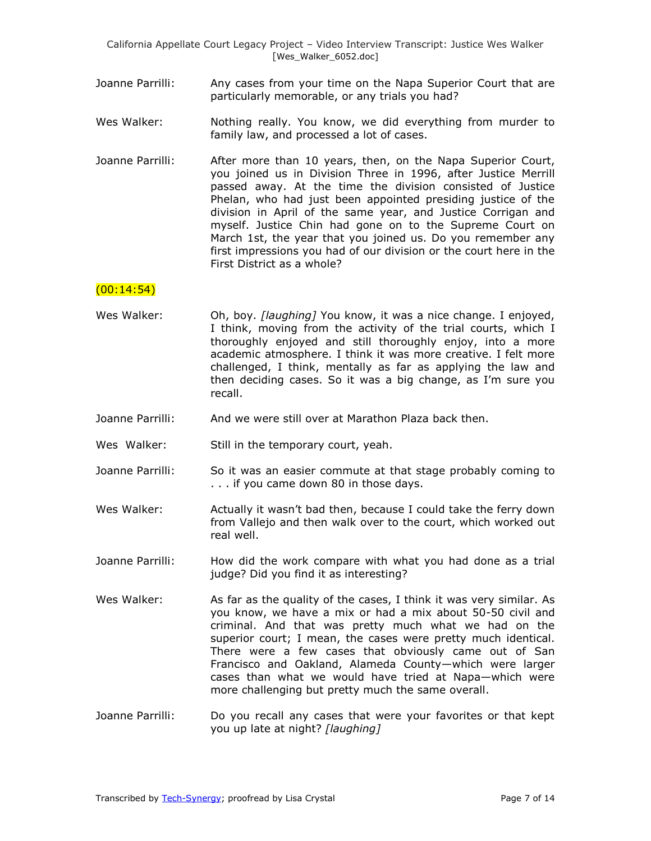- Joanne Parrilli: Any cases from your time on the Napa Superior Court that are particularly memorable, or any trials you had?
- Wes Walker: Nothing really. You know, we did everything from murder to family law, and processed a lot of cases.
- Joanne Parrilli: After more than 10 years, then, on the Napa Superior Court, you joined us in Division Three in 1996, after Justice Merrill passed away. At the time the division consisted of Justice Phelan, who had just been appointed presiding justice of the division in April of the same year, and Justice Corrigan and myself. Justice Chin had gone on to the Supreme Court on March 1st, the year that you joined us. Do you remember any first impressions you had of our division or the court here in the First District as a whole?

## $(00:14:54)$

- Wes Walker: Oh, boy. *[laughing]* You know, it was a nice change. I enjoyed, I think, moving from the activity of the trial courts, which I thoroughly enjoyed and still thoroughly enjoy, into a more academic atmosphere. I think it was more creative. I felt more challenged, I think, mentally as far as applying the law and then deciding cases. So it was a big change, as I'm sure you recall.
- Joanne Parrilli: And we were still over at Marathon Plaza back then.
- Wes Walker: Still in the temporary court, yeah.
- Joanne Parrilli: So it was an easier commute at that stage probably coming to . . . if you came down 80 in those days.
- Wes Walker: Actually it wasn't bad then, because I could take the ferry down from Vallejo and then walk over to the court, which worked out real well.
- Joanne Parrilli: How did the work compare with what you had done as a trial judge? Did you find it as interesting?
- Wes Walker: As far as the quality of the cases, I think it was very similar. As you know, we have a mix or had a mix about 50-50 civil and criminal. And that was pretty much what we had on the superior court; I mean, the cases were pretty much identical. There were a few cases that obviously came out of San Francisco and Oakland, Alameda County—which were larger cases than what we would have tried at Napa—which were more challenging but pretty much the same overall.
- Joanne Parrilli: Do you recall any cases that were your favorites or that kept you up late at night? *[laughing]*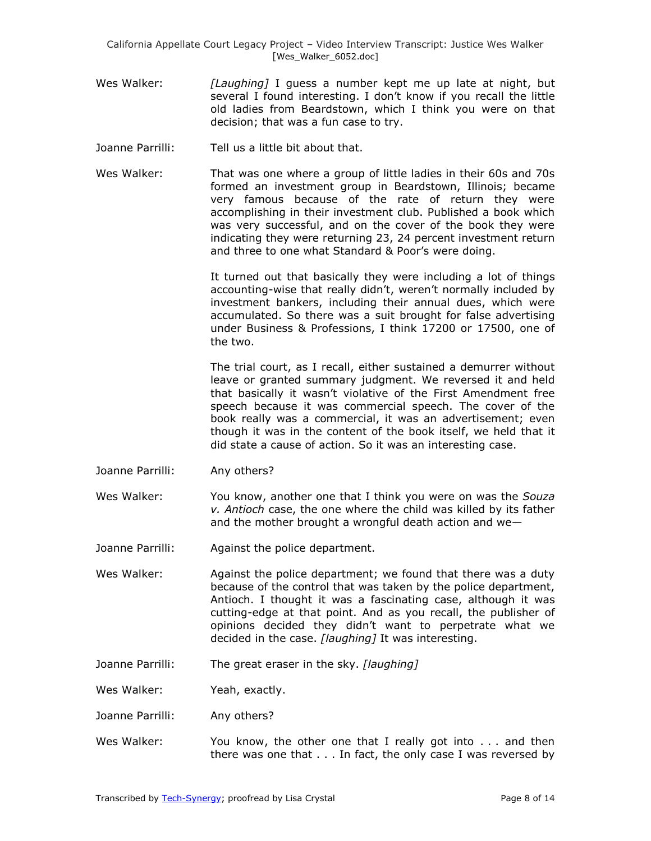- Wes Walker: *[Laughing]* I guess a number kept me up late at night, but several I found interesting. I don't know if you recall the little old ladies from Beardstown, which I think you were on that decision; that was a fun case to try.
- Joanne Parrilli: Tell us a little bit about that.
- Wes Walker: That was one where a group of little ladies in their 60s and 70s formed an investment group in Beardstown, Illinois; became very famous because of the rate of return they were accomplishing in their investment club. Published a book which was very successful, and on the cover of the book they were indicating they were returning 23, 24 percent investment return and three to one what Standard & Poor's were doing.

It turned out that basically they were including a lot of things accounting-wise that really didn't, weren't normally included by investment bankers, including their annual dues, which were accumulated. So there was a suit brought for false advertising under Business & Professions, I think 17200 or 17500, one of the two.

The trial court, as I recall, either sustained a demurrer without leave or granted summary judgment. We reversed it and held that basically it wasn't violative of the First Amendment free speech because it was commercial speech. The cover of the book really was a commercial, it was an advertisement; even though it was in the content of the book itself, we held that it did state a cause of action. So it was an interesting case.

- Joanne Parrilli: Any others?
- Wes Walker: You know, another one that I think you were on was the *Souza v. Antioch* case, the one where the child was killed by its father and the mother brought a wrongful death action and we—
- Joanne Parrilli: Against the police department.
- Wes Walker: Against the police department; we found that there was a duty because of the control that was taken by the police department, Antioch. I thought it was a fascinating case, although it was cutting-edge at that point. And as you recall, the publisher of opinions decided they didn't want to perpetrate what we decided in the case. *[laughing]* It was interesting.
- Joanne Parrilli: The great eraser in the sky. *[laughing]*

Wes Walker: Yeah, exactly.

- Joanne Parrilli: Any others?
- Wes Walker: You know, the other one that I really got into . . . and then there was one that . . . In fact, the only case I was reversed by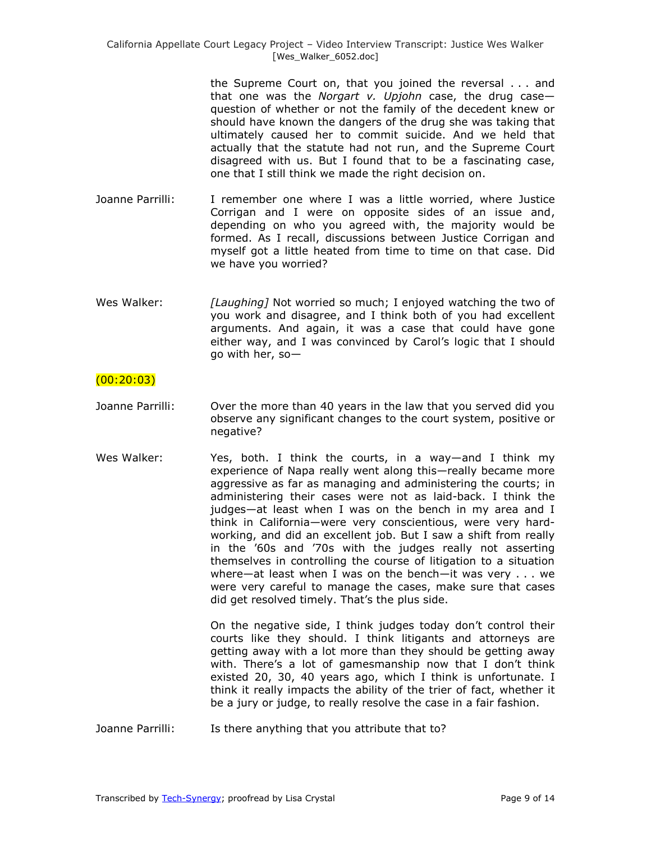the Supreme Court on, that you joined the reversal . . . and that one was the *Norgart v. Upjohn* case, the drug case question of whether or not the family of the decedent knew or should have known the dangers of the drug she was taking that ultimately caused her to commit suicide. And we held that actually that the statute had not run, and the Supreme Court disagreed with us. But I found that to be a fascinating case, one that I still think we made the right decision on.

- Joanne Parrilli: I remember one where I was a little worried, where Justice Corrigan and I were on opposite sides of an issue and, depending on who you agreed with, the majority would be formed. As I recall, discussions between Justice Corrigan and myself got a little heated from time to time on that case. Did we have you worried?
- Wes Walker: *[Laughing]* Not worried so much; I enjoyed watching the two of you work and disagree, and I think both of you had excellent arguments. And again, it was a case that could have gone either way, and I was convinced by Carol's logic that I should go with her, so—

## $(00:20:03)$

- Joanne Parrilli: Over the more than 40 years in the law that you served did you observe any significant changes to the court system, positive or negative?
- Wes Walker: Yes, both. I think the courts, in a way—and I think my experience of Napa really went along this—really became more aggressive as far as managing and administering the courts; in administering their cases were not as laid-back. I think the judges—at least when I was on the bench in my area and I think in California—were very conscientious, were very hardworking, and did an excellent job. But I saw a shift from really in the '60s and '70s with the judges really not asserting themselves in controlling the course of litigation to a situation where—at least when I was on the bench—it was very . . . we were very careful to manage the cases, make sure that cases did get resolved timely. That's the plus side.

On the negative side, I think judges today don't control their courts like they should. I think litigants and attorneys are getting away with a lot more than they should be getting away with. There's a lot of gamesmanship now that I don't think existed 20, 30, 40 years ago, which I think is unfortunate. I think it really impacts the ability of the trier of fact, whether it be a jury or judge, to really resolve the case in a fair fashion.

Joanne Parrilli: Is there anything that you attribute that to?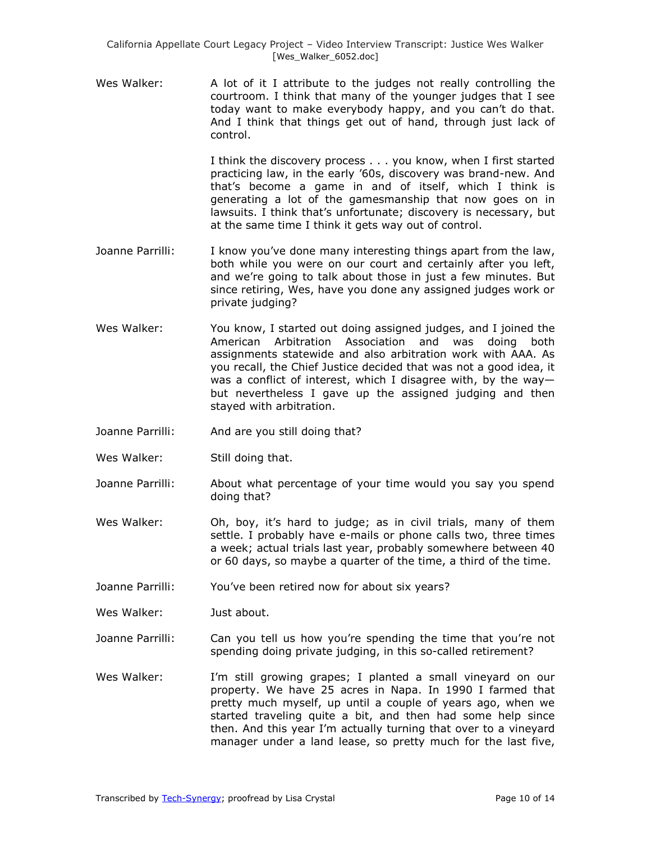Wes Walker: A lot of it I attribute to the judges not really controlling the courtroom. I think that many of the younger judges that I see today want to make everybody happy, and you can't do that. And I think that things get out of hand, through just lack of control.

> I think the discovery process . . . you know, when I first started practicing law, in the early '60s, discovery was brand-new. And that's become a game in and of itself, which I think is generating a lot of the gamesmanship that now goes on in lawsuits. I think that's unfortunate; discovery is necessary, but at the same time I think it gets way out of control.

- Joanne Parrilli: I know you've done many interesting things apart from the law, both while you were on our court and certainly after you left, and we're going to talk about those in just a few minutes. But since retiring, Wes, have you done any assigned judges work or private judging?
- Wes Walker: You know, I started out doing assigned judges, and I joined the American Arbitration Association and was doing both assignments statewide and also arbitration work with AAA. As you recall, the Chief Justice decided that was not a good idea, it was a conflict of interest, which I disagree with, by the way but nevertheless I gave up the assigned judging and then stayed with arbitration.
- Joanne Parrilli: And are you still doing that?
- Wes Walker: Still doing that.
- Joanne Parrilli: About what percentage of your time would you say you spend doing that?
- Wes Walker: Oh, boy, it's hard to judge; as in civil trials, many of them settle. I probably have e-mails or phone calls two, three times a week; actual trials last year, probably somewhere between 40 or 60 days, so maybe a quarter of the time, a third of the time.
- Joanne Parrilli: You've been retired now for about six years?
- Wes Walker: Just about.
- Joanne Parrilli: Can you tell us how you're spending the time that you're not spending doing private judging, in this so-called retirement?
- Wes Walker: I'm still growing grapes; I planted a small vineyard on our property. We have 25 acres in Napa. In 1990 I farmed that pretty much myself, up until a couple of years ago, when we started traveling quite a bit, and then had some help since then. And this year I'm actually turning that over to a vineyard manager under a land lease, so pretty much for the last five,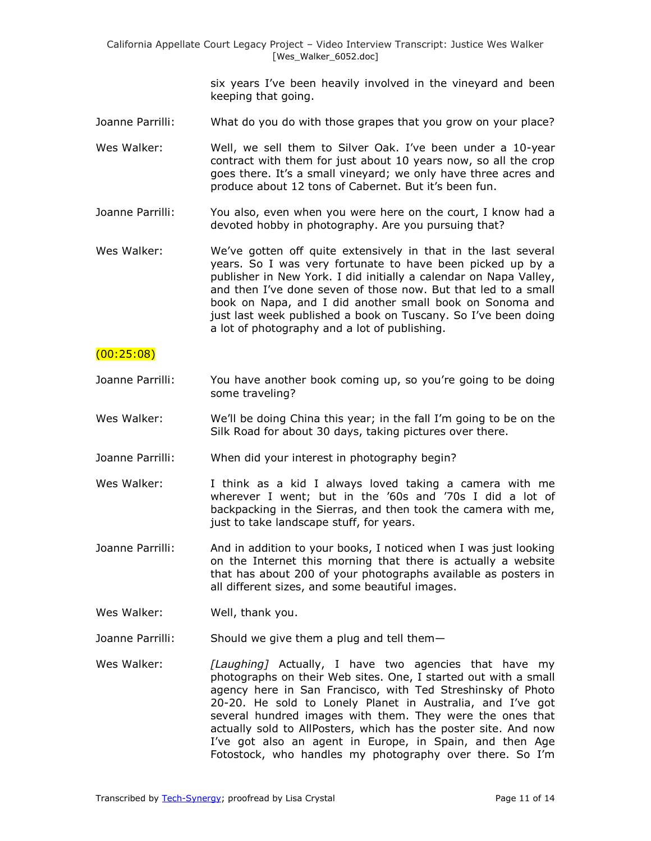> six years I've been heavily involved in the vineyard and been keeping that going.

- Joanne Parrilli: What do you do with those grapes that you grow on your place?
- Wes Walker: Well, we sell them to Silver Oak. I've been under a 10-year contract with them for just about 10 years now, so all the crop goes there. It's a small vineyard; we only have three acres and produce about 12 tons of Cabernet. But it's been fun.
- Joanne Parrilli: You also, even when you were here on the court, I know had a devoted hobby in photography. Are you pursuing that?
- Wes Walker: We've gotten off quite extensively in that in the last several years. So I was very fortunate to have been picked up by a publisher in New York. I did initially a calendar on Napa Valley, and then I've done seven of those now. But that led to a small book on Napa, and I did another small book on Sonoma and just last week published a book on Tuscany. So I've been doing a lot of photography and a lot of publishing.

## (00:25:08)

- Joanne Parrilli: You have another book coming up, so you're going to be doing some traveling?
- Wes Walker: We'll be doing China this year; in the fall I'm going to be on the Silk Road for about 30 days, taking pictures over there.
- Joanne Parrilli: When did your interest in photography begin?
- Wes Walker: I think as a kid I always loved taking a camera with me wherever I went; but in the '60s and '70s I did a lot of backpacking in the Sierras, and then took the camera with me, just to take landscape stuff, for years.
- Joanne Parrilli: And in addition to your books, I noticed when I was just looking on the Internet this morning that there is actually a website that has about 200 of your photographs available as posters in all different sizes, and some beautiful images.
- Wes Walker: Well, thank you.
- Joanne Parrilli: Should we give them a plug and tell them—
- Wes Walker: *[Laughing]* Actually, I have two agencies that have my photographs on their Web sites. One, I started out with a small agency here in San Francisco, with Ted Streshinsky of Photo 20-20. He sold to Lonely Planet in Australia, and I've got several hundred images with them. They were the ones that actually sold to AllPosters, which has the poster site. And now I've got also an agent in Europe, in Spain, and then Age Fotostock, who handles my photography over there. So I'm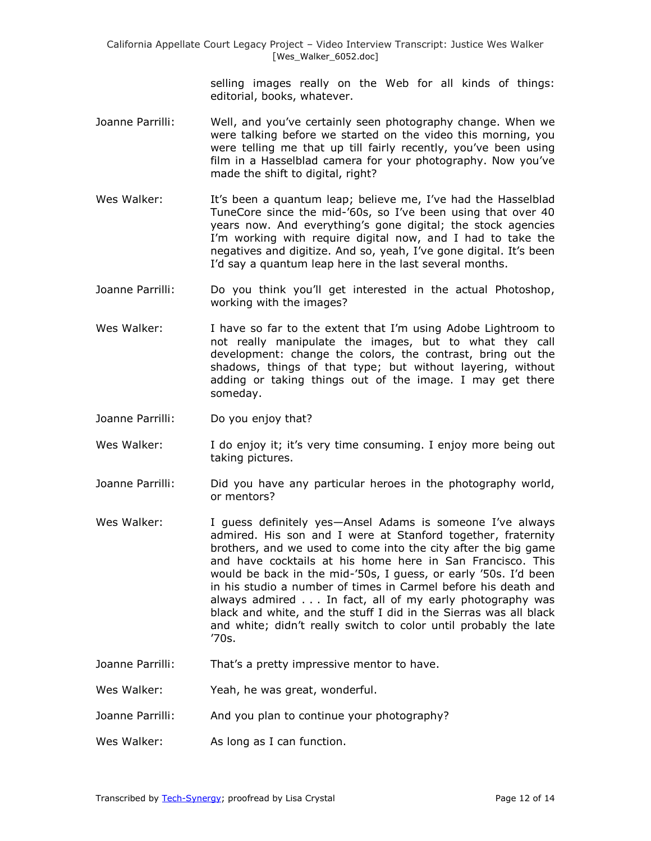> selling images really on the Web for all kinds of things: editorial, books, whatever.

- Joanne Parrilli: Well, and you've certainly seen photography change. When we were talking before we started on the video this morning, you were telling me that up till fairly recently, you've been using film in a Hasselblad camera for your photography. Now you've made the shift to digital, right?
- Wes Walker: It's been a quantum leap; believe me, I've had the Hasselblad TuneCore since the mid-'60s, so I've been using that over 40 years now. And everything's gone digital; the stock agencies I'm working with require digital now, and I had to take the negatives and digitize. And so, yeah, I've gone digital. It's been I'd say a quantum leap here in the last several months.
- Joanne Parrilli: Do you think you'll get interested in the actual Photoshop, working with the images?
- Wes Walker: I have so far to the extent that I'm using Adobe Lightroom to not really manipulate the images, but to what they call development: change the colors, the contrast, bring out the shadows, things of that type; but without layering, without adding or taking things out of the image. I may get there someday.
- Joanne Parrilli: Do you enjoy that?
- Wes Walker: I do enjoy it; it's very time consuming. I enjoy more being out taking pictures.
- Joanne Parrilli: Did you have any particular heroes in the photography world, or mentors?
- Wes Walker: I guess definitely yes-Ansel Adams is someone I've always admired. His son and I were at Stanford together, fraternity brothers, and we used to come into the city after the big game and have cocktails at his home here in San Francisco. This would be back in the mid-'50s, I guess, or early '50s. I'd been in his studio a number of times in Carmel before his death and always admired . . . In fact, all of my early photography was black and white, and the stuff I did in the Sierras was all black and white; didn't really switch to color until probably the late '70s.
- Joanne Parrilli: That's a pretty impressive mentor to have.
- Wes Walker: Yeah, he was great, wonderful.
- Joanne Parrilli: And you plan to continue your photography?
- Wes Walker: As long as I can function.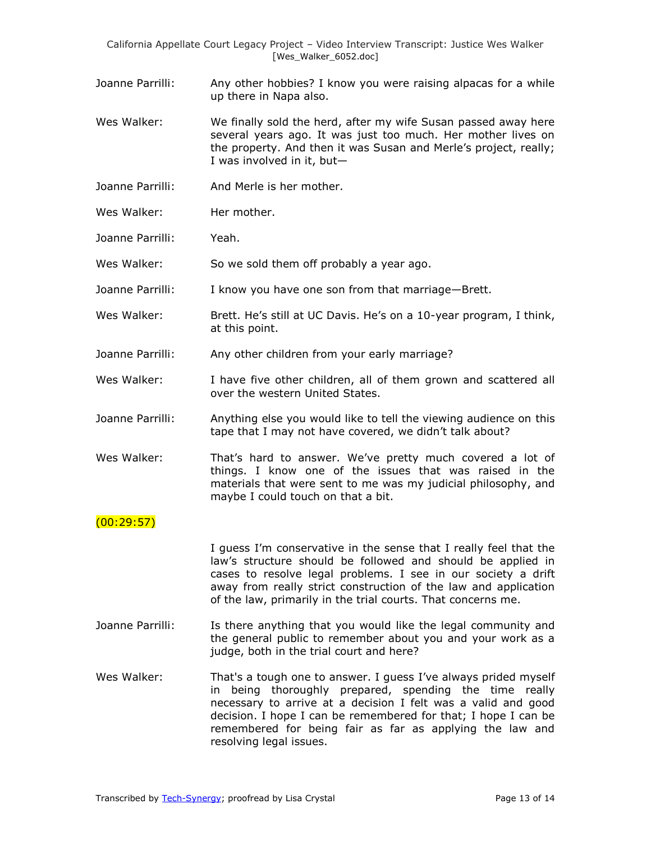Joanne Parrilli: Any other hobbies? I know you were raising alpacas for a while up there in Napa also.

- Wes Walker: We finally sold the herd, after my wife Susan passed away here several years ago. It was just too much. Her mother lives on the property. And then it was Susan and Merle's project, really; I was involved in it, but—
- Joanne Parrilli: And Merle is her mother.
- Wes Walker: Her mother.
- Joanne Parrilli: Yeah.

Wes Walker: So we sold them off probably a year ago.

- Joanne Parrilli: I know you have one son from that marriage—Brett.
- Wes Walker: Brett. He's still at UC Davis. He's on a 10-year program, I think, at this point.
- Joanne Parrilli: Any other children from your early marriage?
- Wes Walker: I have five other children, all of them grown and scattered all over the western United States.
- Joanne Parrilli: Anything else you would like to tell the viewing audience on this tape that I may not have covered, we didn't talk about?
- Wes Walker: That's hard to answer. We've pretty much covered a lot of things. I know one of the issues that was raised in the materials that were sent to me was my judicial philosophy, and maybe I could touch on that a bit.

## $(00:29:57)$

I guess I'm conservative in the sense that I really feel that the law's structure should be followed and should be applied in cases to resolve legal problems. I see in our society a drift away from really strict construction of the law and application of the law, primarily in the trial courts. That concerns me.

- Joanne Parrilli: Is there anything that you would like the legal community and the general public to remember about you and your work as a judge, both in the trial court and here?
- Wes Walker: That's a tough one to answer. I guess I've always prided myself in being thoroughly prepared, spending the time really necessary to arrive at a decision I felt was a valid and good decision. I hope I can be remembered for that; I hope I can be remembered for being fair as far as applying the law and resolving legal issues.